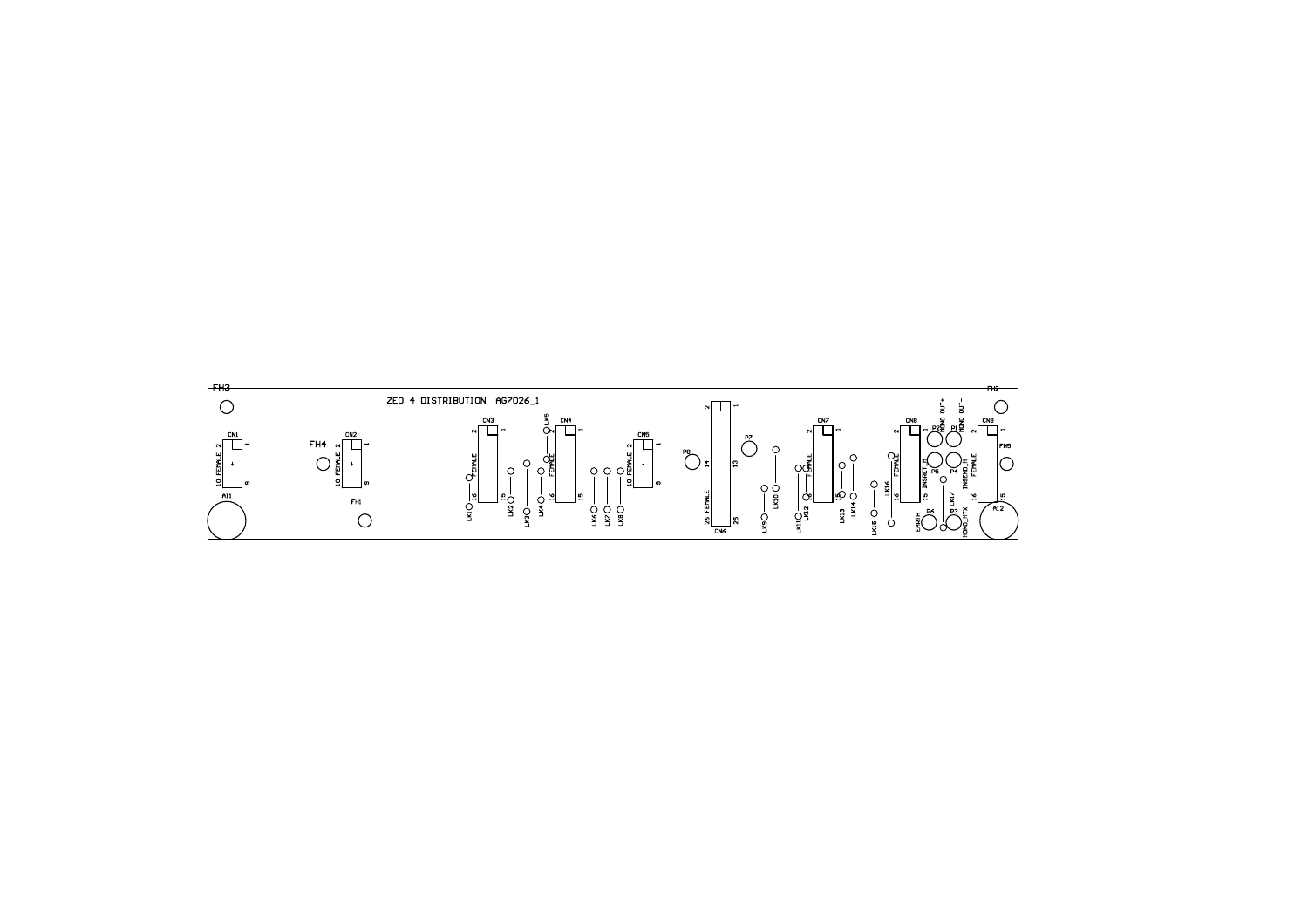